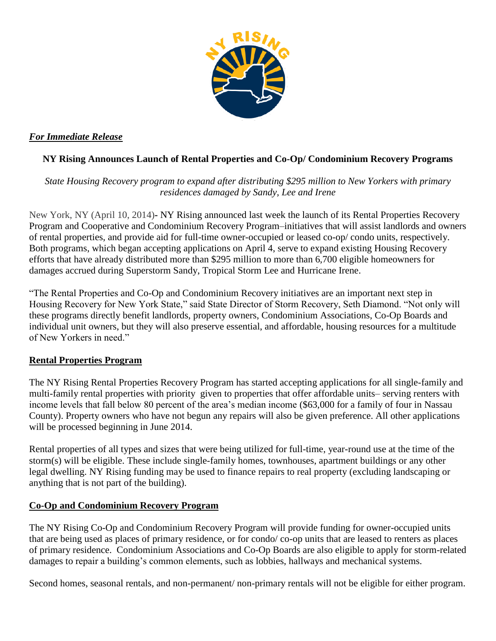

# *For Immediate Release*

# **NY Rising Announces Launch of Rental Properties and Co-Op/ Condominium Recovery Programs**

## *State Housing Recovery program to expand after distributing \$295 million to New Yorkers with primary residences damaged by Sandy, Lee and Irene*

New York, NY (April 10, 2014)**-** NY Rising announced last week the launch of its Rental Properties Recovery Program and Cooperative and Condominium Recovery Program–initiatives that will assist landlords and owners of rental properties, and provide aid for full-time owner-occupied or leased co-op/ condo units, respectively. Both programs, which began accepting applications on April 4, serve to expand existing Housing Recovery efforts that have already distributed more than \$295 million to more than 6,700 eligible homeowners for damages accrued during Superstorm Sandy, Tropical Storm Lee and Hurricane Irene.

"The Rental Properties and Co-Op and Condominium Recovery initiatives are an important next step in Housing Recovery for New York State," said State Director of Storm Recovery, Seth Diamond. "Not only will these programs directly benefit landlords, property owners, Condominium Associations, Co-Op Boards and individual unit owners, but they will also preserve essential, and affordable, housing resources for a multitude of New Yorkers in need."

## **Rental Properties Program**

The NY Rising Rental Properties Recovery Program has started accepting applications for all single-family and multi-family rental properties with priority given to properties that offer affordable units– serving renters with income levels that fall below 80 percent of the area's median income (\$63,000 for a family of four in Nassau County). Property owners who have not begun any repairs will also be given preference. All other applications will be processed beginning in June 2014.

Rental properties of all types and sizes that were being utilized for full-time, year-round use at the time of the storm(s) will be eligible. These include single-family homes, townhouses, apartment buildings or any other legal dwelling. NY Rising funding may be used to finance repairs to real property (excluding landscaping or anything that is not part of the building).

## **Co-Op and Condominium Recovery Program**

The NY Rising Co-Op and Condominium Recovery Program will provide funding for owner-occupied units that are being used as places of primary residence, or for condo/ co-op units that are leased to renters as places of primary residence. Condominium Associations and Co-Op Boards are also eligible to apply for storm-related damages to repair a building's common elements, such as lobbies, hallways and mechanical systems.

Second homes, seasonal rentals, and non-permanent/ non-primary rentals will not be eligible for either program.